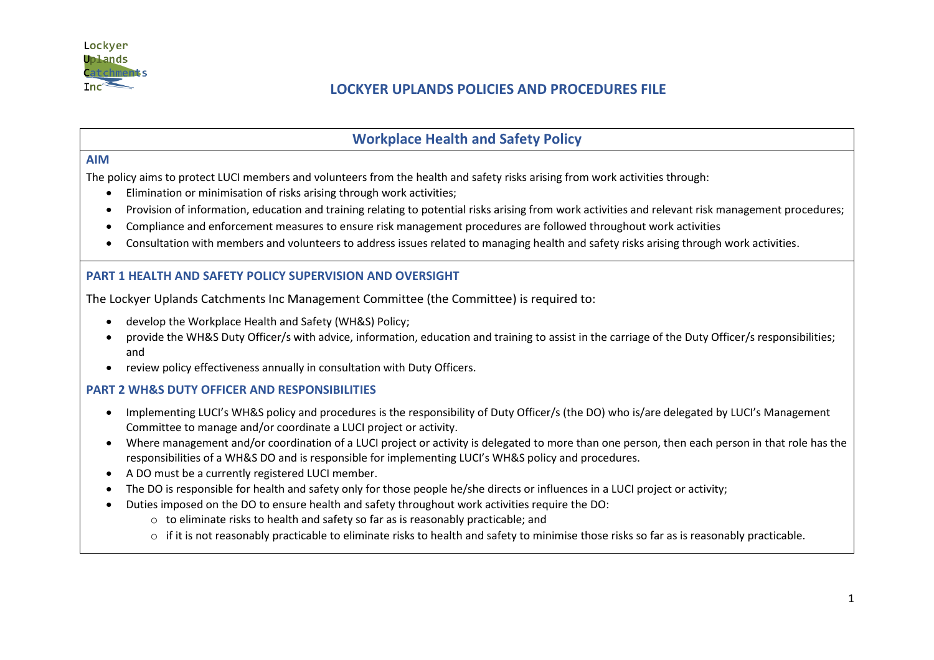

# **LOCKYER UPLANDS POLICIES AND PROCEDURES FILE**

## **Workplace Health and Safety Policy**

#### **AIM**

The policy aims to protect LUCI members and volunteers from the health and safety risks arising from work activities through:

- Elimination or minimisation of risks arising through work activities;
- Provision of information, education and training relating to potential risks arising from work activities and relevant risk management procedures;
- Compliance and enforcement measures to ensure risk management procedures are followed throughout work activities
- Consultation with members and volunteers to address issues related to managing health and safety risks arising through work activities.

### **PART 1 HEALTH AND SAFETY POLICY SUPERVISION AND OVERSIGHT**

The Lockyer Uplands Catchments Inc Management Committee (the Committee) is required to:

- develop the Workplace Health and Safety (WH&S) Policy;
- provide the WH&S Duty Officer/s with advice, information, education and training to assist in the carriage of the Duty Officer/s responsibilities; and
- review policy effectiveness annually in consultation with Duty Officers.

### **PART 2 WH&S DUTY OFFICER AND RESPONSIBILITIES**

- Implementing LUCI's WH&S policy and procedures is the responsibility of Duty Officer/s (the DO) who is/are delegated by LUCI's Management Committee to manage and/or coordinate a LUCI project or activity.
- Where management and/or coordination of a LUCI project or activity is delegated to more than one person, then each person in that role has the responsibilities of a WH&S DO and is responsible for implementing LUCI's WH&S policy and procedures.
- A DO must be a currently registered LUCI member.
- The DO is responsible for health and safety only for those people he/she directs or influences in a LUCI project or activity;
- Duties imposed on the DO to ensure health and safety throughout work activities require the DO:
	- o to eliminate risks to health and safety so far as is reasonably practicable; and
	- o if it is not reasonably practicable to eliminate risks to health and safety to minimise those risks so far as is reasonably practicable.